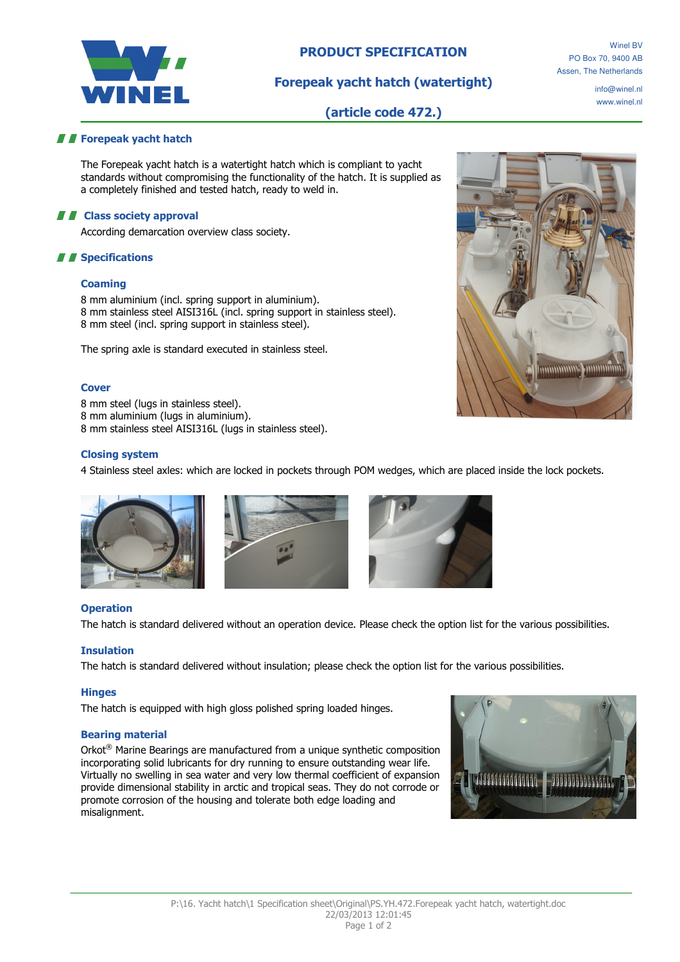

# PRODUCT SPECIFICATION

# Forepeak yacht hatch (watertight)

Winel BV PO Box 70, 9400 AB Assen, The Netherlands

> info@winel.nl www.winel.nl

# (article code 472.)

## **Forepeak yacht hatch**

The Forepeak yacht hatch is a watertight hatch which is compliant to yacht standards without compromising the functionality of the hatch. It is supplied as a completely finished and tested hatch, ready to weld in.

#### **A E** Class society approval

According demarcation overview class society.

## **A A** Specifications

#### **Coaming**

8 mm aluminium (incl. spring support in aluminium). 8 mm stainless steel AISI316L (incl. spring support in stainless steel). 8 mm steel (incl. spring support in stainless steel).

The spring axle is standard executed in stainless steel.

#### **Cover**

8 mm steel (lugs in stainless steel).

8 mm aluminium (lugs in aluminium).

8 mm stainless steel AISI316L (lugs in stainless steel).

### Closing system

4 Stainless steel axles: which are locked in pockets through POM wedges, which are placed inside the lock pockets.







#### **Operation**

The hatch is standard delivered without an operation device. Please check the option list for the various possibilities.

#### Insulation

The hatch is standard delivered without insulation; please check the option list for the various possibilities.

#### **Hinges**

The hatch is equipped with high gloss polished spring loaded hinges.

#### Bearing material

Orkot® Marine Bearings are manufactured from a unique synthetic composition incorporating solid lubricants for dry running to ensure outstanding wear life. Virtually no swelling in sea water and very low thermal coefficient of expansion provide dimensional stability in arctic and tropical seas. They do not corrode or promote corrosion of the housing and tolerate both edge loading and misalignment.